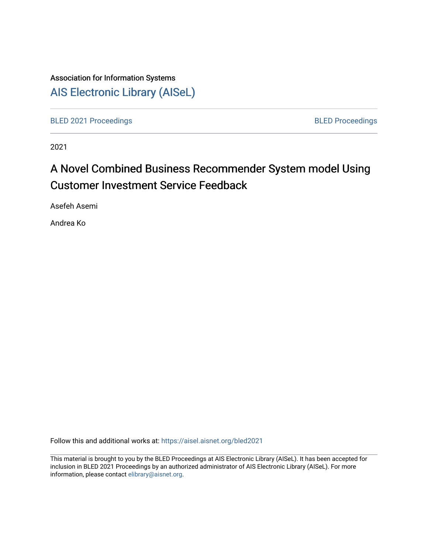# Association for Information Systems [AIS Electronic Library \(AISeL\)](https://aisel.aisnet.org/)

[BLED 2021 Proceedings](https://aisel.aisnet.org/bled2021) **BLED Proceedings** 

2021

# A Novel Combined Business Recommender System model Using Customer Investment Service Feedback

Asefeh Asemi

Andrea Ko

Follow this and additional works at: [https://aisel.aisnet.org/bled2021](https://aisel.aisnet.org/bled2021?utm_source=aisel.aisnet.org%2Fbled2021%2F2&utm_medium=PDF&utm_campaign=PDFCoverPages) 

This material is brought to you by the BLED Proceedings at AIS Electronic Library (AISeL). It has been accepted for inclusion in BLED 2021 Proceedings by an authorized administrator of AIS Electronic Library (AISeL). For more information, please contact [elibrary@aisnet.org.](mailto:elibrary@aisnet.org%3E)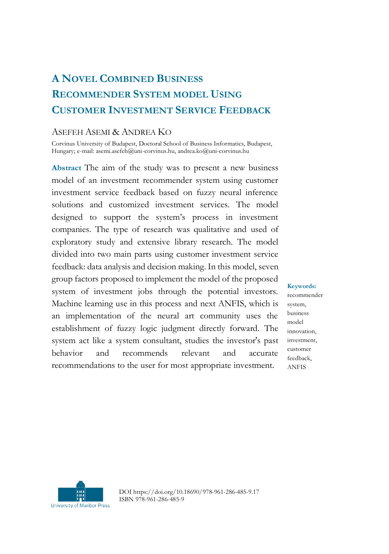# **A NOVEL COMBINED BUSINESS RECOMMENDER SYSTEM MODEL USING CUSTOMER INVESTMENT SERVICE FEEDBACK**

#### ASEFEH ASEMI & ANDREA KO

Corvinus University of Budapest, Doctoral School of Business Informatics, Budapest, Hungary; e-mail: asemi.asefeh@uni-corvinus.hu, andrea.ko@uni-corvinus.hu

**Abstract** The aim of the study was to present a new business model of an investment recommender system using customer investment service feedback based on fuzzy neural inference solutions and customized investment services. The model designed to support the system's process in investment companies. The type of research was qualitative and used of exploratory study and extensive library research. The model divided into two main parts using customer investment service feedback: data analysis and decision making. In this model, seven group factors proposed to implement the model of the proposed system of investment jobs through the potential investors. Machine learning use in this process and next ANFIS, which is an implementation of the neural art community uses the establishment of fuzzy logic judgment directly forward. The system act like a system consultant, studies the investor's past behavior and recommends relevant and accurate recommendations to the user for most appropriate investment.

**Keywords:** recommender system, business model innovation, investment, customer feedback, ANFIS



DOI https://doi.org/10.18690/978-961-286-485-9.17 ISBN 978-961-286-485-9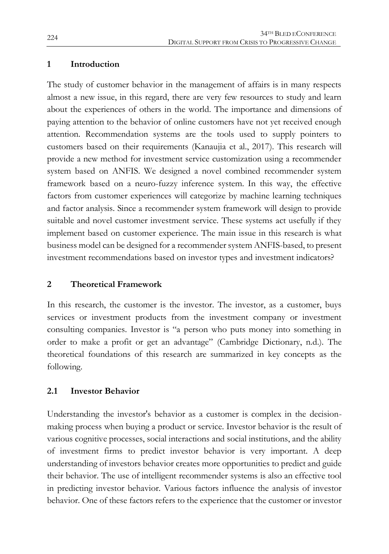#### **1 Introduction**

The study of customer behavior in the management of affairs is in many respects almost a new issue, in this regard, there are very few resources to study and learn about the experiences of others in the world. The importance and dimensions of paying attention to the behavior of online customers have not yet received enough attention. Recommendation systems are the tools used to supply pointers to customers based on their requirements (Kanaujia et al., 2017). This research will provide a new method for investment service customization using a recommender system based on ANFIS. We designed a novel combined recommender system framework based on a neuro-fuzzy inference system. In this way, the effective factors from customer experiences will categorize by machine learning techniques and factor analysis. Since a recommender system framework will design to provide suitable and novel customer investment service. These systems act usefully if they implement based on customer experience. The main issue in this research is what business model can be designed for a recommender system ANFIS-based, to present investment recommendations based on investor types and investment indicators?

#### **2 Theoretical Framework**

In this research, the customer is the investor. The investor, as a customer, buys services or investment products from the investment company or investment consulting companies. Investor is "a person who puts money into something in order to make a profit or get an advantage" (Cambridge Dictionary, n.d.). The theoretical foundations of this research are summarized in key concepts as the following.

#### **2.1 Investor Behavior**

Understanding the investor's behavior as a customer is complex in the decisionmaking process when buying a product or service. Investor behavior is the result of various cognitive processes, social interactions and social institutions, and the ability of investment firms to predict investor behavior is very important. A deep understanding of investors behavior creates more opportunities to predict and guide their behavior. The use of intelligent recommender systems is also an effective tool in predicting investor behavior. Various factors influence the analysis of investor behavior. One of these factors refers to the experience that the customer or investor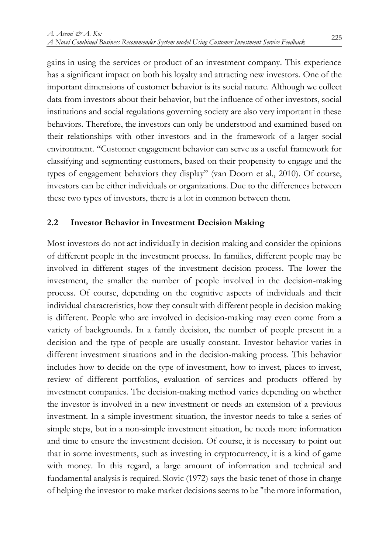gains in using the services or product of an investment company. This experience has a significant impact on both his loyalty and attracting new investors. One of the important dimensions of customer behavior is its social nature. Although we collect data from investors about their behavior, but the influence of other investors, social institutions and social regulations governing society are also very important in these behaviors. Therefore, the investors can only be understood and examined based on their relationships with other investors and in the framework of a larger social environment. "Customer engagement behavior can serve as a useful framework for classifying and segmenting customers, based on their propensity to engage and the types of engagement behaviors they display" (van Doorn et al., 2010). Of course, investors can be either individuals or organizations. Due to the differences between these two types of investors, there is a lot in common between them.

#### **2.2 Investor Behavior in Investment Decision Making**

Most investors do not act individually in decision making and consider the opinions of different people in the investment process. In families, different people may be involved in different stages of the investment decision process. The lower the investment, the smaller the number of people involved in the decision-making process. Of course, depending on the cognitive aspects of individuals and their individual characteristics, how they consult with different people in decision making is different. People who are involved in decision-making may even come from a variety of backgrounds. In a family decision, the number of people present in a decision and the type of people are usually constant. Investor behavior varies in different investment situations and in the decision-making process. This behavior includes how to decide on the type of investment, how to invest, places to invest, review of different portfolios, evaluation of services and products offered by investment companies. The decision-making method varies depending on whether the investor is involved in a new investment or needs an extension of a previous investment. In a simple investment situation, the investor needs to take a series of simple steps, but in a non-simple investment situation, he needs more information and time to ensure the investment decision. Of course, it is necessary to point out that in some investments, such as investing in cryptocurrency, it is a kind of game with money. In this regard, a large amount of information and technical and fundamental analysis is required. Slovic (1972) says the basic tenet of those in charge of helping the investor to make market decisions seems to be "the more information,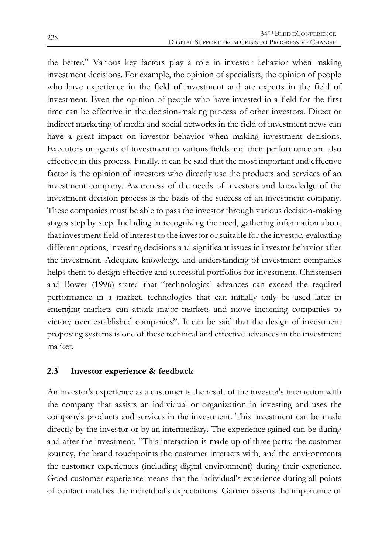the better." Various key factors play a role in investor behavior when making investment decisions. For example, the opinion of specialists, the opinion of people who have experience in the field of investment and are experts in the field of investment. Even the opinion of people who have invested in a field for the first time can be effective in the decision-making process of other investors. Direct or indirect marketing of media and social networks in the field of investment news can have a great impact on investor behavior when making investment decisions. Executors or agents of investment in various fields and their performance are also effective in this process. Finally, it can be said that the most important and effective factor is the opinion of investors who directly use the products and services of an investment company. Awareness of the needs of investors and knowledge of the investment decision process is the basis of the success of an investment company. These companies must be able to pass the investor through various decision-making stages step by step. Including in recognizing the need, gathering information about that investment field of interest to the investor or suitable for the investor, evaluating different options, investing decisions and significant issues in investor behavior after the investment. Adequate knowledge and understanding of investment companies helps them to design effective and successful portfolios for investment. Christensen and Bower (1996) stated that "technological advances can exceed the required performance in a market, technologies that can initially only be used later in emerging markets can attack major markets and move incoming companies to victory over established companies". It can be said that the design of investment proposing systems is one of these technical and effective advances in the investment market.

# **2.3 Investor experience & feedback**

An investor's experience as a customer is the result of the investor's interaction with the company that assists an individual or organization in investing and uses the company's products and services in the investment. This investment can be made directly by the investor or by an intermediary. The experience gained can be during and after the investment. "This interaction is made up of three parts: the customer journey, the brand touchpoints the customer interacts with, and the environments the customer experiences (including digital environment) during their experience. Good customer experience means that the individual's experience during all points of contact matches the individual's expectations. Gartner asserts the importance of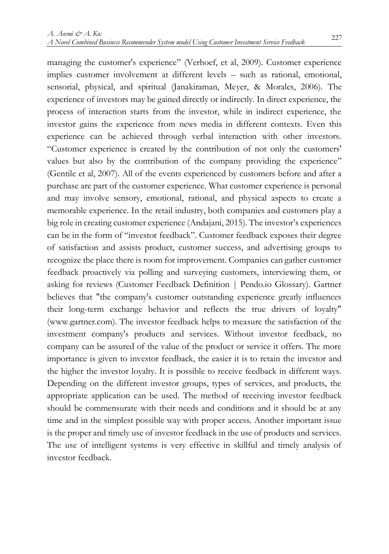managing the customer's experience" (Verhoef, et al, 2009). Customer experience implies customer involvement at different levels – such as rational, emotional, sensorial, physical, and spiritual (Janakiraman, Meyer, & Morales, 2006). The experience of investors may be gained directly or indirectly. In direct experience, the process of interaction starts from the investor, while in indirect experience, the investor gains the experience from news media in different contexts. Even this experience can be achieved through verbal interaction with other investors. "Customer experience is created by the contribution of not only the customers' values but also by the contribution of the company providing the experience" (Gentile et al, 2007). All of the events experienced by customers before and after a purchase are part of the customer experience. What customer experience is personal and may involve sensory, emotional, rational, and physical aspects to create a memorable experience. In the retail industry, both companies and customers play a big role in creating customer experience (Andajani, 2015). The investor's experiences can be in the form of "investor feedback". Customer feedback exposes their degree of satisfaction and assists product, customer success, and advertising groups to recognize the place there is room for improvement. Companies can gather customer feedback proactively via polling and surveying customers, interviewing them, or asking for reviews (Customer Feedback Definition | Pendo.io Glossary). Gartner believes that "the company's customer outstanding experience greatly influences their long-term exchange behavior and reflects the true drivers of loyalty" (www.gartner.com). The investor feedback helps to measure the satisfaction of the investment company's products and services. Without investor feedback, no company can be assured of the value of the product or service it offers. The more importance is given to investor feedback, the easier it is to retain the investor and the higher the investor loyalty. It is possible to receive feedback in different ways. Depending on the different investor groups, types of services, and products, the appropriate application can be used. The method of receiving investor feedback should be commensurate with their needs and conditions and it should be at any time and in the simplest possible way with proper access. Another important issue is the proper and timely use of investor feedback in the use of products and services. The use of intelligent systems is very effective in skillful and timely analysis of investor feedback.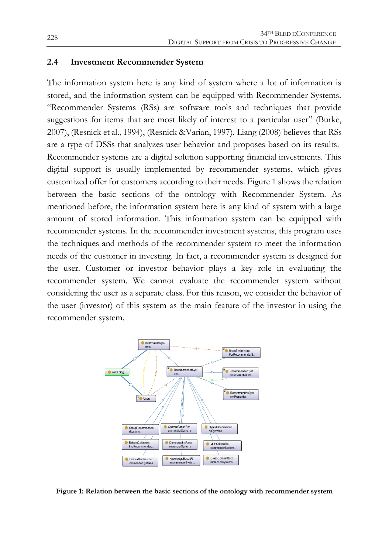#### **2.4 Investment Recommender System**

The information system here is any kind of system where a lot of information is stored, and the information system can be equipped with Recommender Systems. "Recommender Systems (RSs) are software tools and techniques that provide suggestions for items that are most likely of interest to a particular user" (Burke, 2007), (Resnick et al., 1994), (Resnick &Varian, 1997). Liang (2008) believes that RSs are a type of DSSs that analyzes user behavior and proposes based on its results. Recommender systems are a digital solution supporting financial investments. This digital support is usually implemented by recommender systems, which gives customized offer for customers according to their needs. Figure 1 shows the relation between the basic sections of the ontology with Recommender System. As mentioned before, the information system here is any kind of system with a large amount of stored information. This information system can be equipped with recommender systems. In the recommender investment systems, this program uses the techniques and methods of the recommender system to meet the information needs of the customer in investing. In fact, a recommender system is designed for the user. Customer or investor behavior plays a key role in evaluating the recommender system. We cannot evaluate the recommender system without considering the user as a separate class. For this reason, we consider the behavior of the user (investor) of this system as the main feature of the investor in using the recommender system.



**Figure 1: Relation between the basic sections of the ontology with recommender system**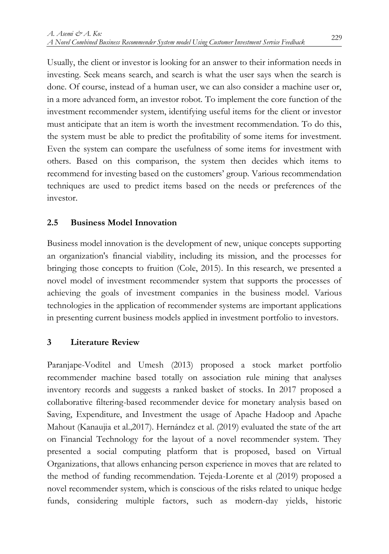Usually, the client or investor is looking for an answer to their information needs in investing. Seek means search, and search is what the user says when the search is done. Of course, instead of a human user, we can also consider a machine user or, in a more advanced form, an investor robot. To implement the core function of the investment recommender system, identifying useful items for the client or investor must anticipate that an item is worth the investment recommendation. To do this, the system must be able to predict the profitability of some items for investment. Even the system can compare the usefulness of some items for investment with others. Based on this comparison, the system then decides which items to recommend for investing based on the customers' group. Various recommendation techniques are used to predict items based on the needs or preferences of the investor.

#### **2.5 Business Model Innovation**

Business model innovation is the development of new, unique concepts supporting an organization's financial viability, including its mission, and the processes for bringing those concepts to fruition (Cole, 2015). In this research, we presented a novel model of investment recommender system that supports the processes of achieving the goals of investment companies in the business model. Various technologies in the application of recommender systems are important applications in presenting current business models applied in investment portfolio to investors.

#### **3 Literature Review**

Paranjape-Voditel and Umesh (2013) proposed a stock market portfolio recommender machine based totally on association rule mining that analyses inventory records and suggests a ranked basket of stocks. In 2017 proposed a collaborative filtering-based recommender device for monetary analysis based on Saving, Expenditure, and Investment the usage of Apache Hadoop and Apache Mahout (Kanaujia et al.,2017). Hernández et al. (2019) evaluated the state of the art on Financial Technology for the layout of a novel recommender system. They presented a social computing platform that is proposed, based on Virtual Organizations, that allows enhancing person experience in moves that are related to the method of funding recommendation. Tejeda-Lorente et al (2019) proposed a novel recommender system, which is conscious of the risks related to unique hedge funds, considering multiple factors, such as modern-day yields, historic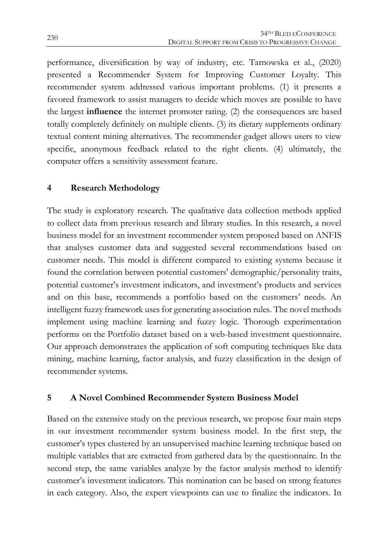performance, diversification by way of industry, etc. Tarnowska et al., (2020) presented a Recommender System for Improving Customer Loyalty. This recommender system addressed various important problems. (1) it presents a favored framework to assist managers to decide which moves are possible to have the largest **influence** the internet promoter rating. (2) the consequences are based totally completely definitely on multiple clients. (3) its dietary supplements ordinary textual content mining alternatives. The recommender gadget allows users to view specific, anonymous feedback related to the right clients. (4) ultimately, the computer offers a sensitivity assessment feature.

# **4 Research Methodology**

The study is exploratory research. The qualitative data collection methods applied to collect data from previous research and library studies. In this research, a novel business model for an investment recommender system proposed based on ANFIS that analyses customer data and suggested several recommendations based on customer needs. This model is different compared to existing systems because it found the correlation between potential customers' demographic/personality traits, potential customer's investment indicators, and investment's products and services and on this base, recommends a portfolio based on the customers' needs. An intelligent fuzzy framework uses for generating association rules. The novel methods implement using machine learning and fuzzy logic. Thorough experimentation performs on the Portfolio dataset based on a web-based investment questionnaire. Our approach demonstrates the application of soft computing techniques like data mining, machine learning, factor analysis, and fuzzy classification in the design of recommender systems.

# **5 A Novel Combined Recommender System Business Model**

Based on the extensive study on the previous research, we propose four main steps in our investment recommender system business model. In the first step, the customer's types clustered by an unsupervised machine learning technique based on multiple variables that are extracted from gathered data by the questionnaire. In the second step, the same variables analyze by the factor analysis method to identify customer's investment indicators. This nomination can be based on strong features in each category. Also, the expert viewpoints can use to finalize the indicators. In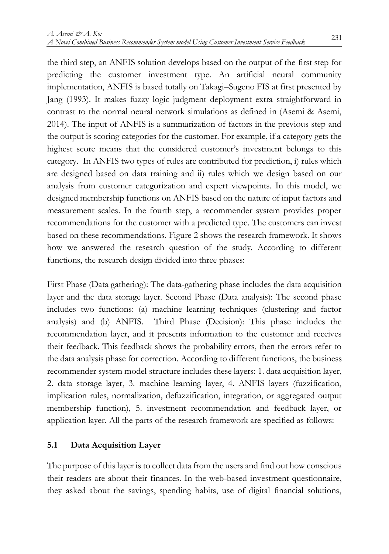the third step, an ANFIS solution develops based on the output of the first step for predicting the customer investment type. An artificial neural community implementation, ANFIS is based totally on Takagi–Sugeno FIS at first presented by Jang (1993). It makes fuzzy logic judgment deployment extra straightforward in contrast to the normal neural network simulations as defined in (Asemi & Asemi, 2014). The input of ANFIS is a summarization of factors in the previous step and the output is scoring categories for the customer. For example, if a category gets the highest score means that the considered customer's investment belongs to this category. In ANFIS two types of rules are contributed for prediction, i) rules which are designed based on data training and ii) rules which we design based on our analysis from customer categorization and expert viewpoints. In this model, we designed membership functions on ANFIS based on the nature of input factors and measurement scales. In the fourth step, a recommender system provides proper recommendations for the customer with a predicted type. The customers can invest based on these recommendations. Figure 2 shows the research framework. It shows how we answered the research question of the study. According to different functions, the research design divided into three phases:

First Phase (Data gathering): The data-gathering phase includes the data acquisition layer and the data storage layer. Second Phase (Data analysis): The second phase includes two functions: (a) machine learning techniques (clustering and factor analysis) and (b) ANFIS. Third Phase (Decision): This phase includes the recommendation layer, and it presents information to the customer and receives their feedback. This feedback shows the probability errors, then the errors refer to the data analysis phase for correction. According to different functions, the business recommender system model structure includes these layers: 1. data acquisition layer, 2. data storage layer, 3. machine learning layer, 4. ANFIS layers (fuzzification, implication rules, normalization, defuzzification, integration, or aggregated output membership function), 5. investment recommendation and feedback layer, or application layer. All the parts of the research framework are specified as follows:

#### **5.1 Data Acquisition Layer**

The purpose of this layer is to collect data from the users and find out how conscious their readers are about their finances. In the web-based investment questionnaire, they asked about the savings, spending habits, use of digital financial solutions,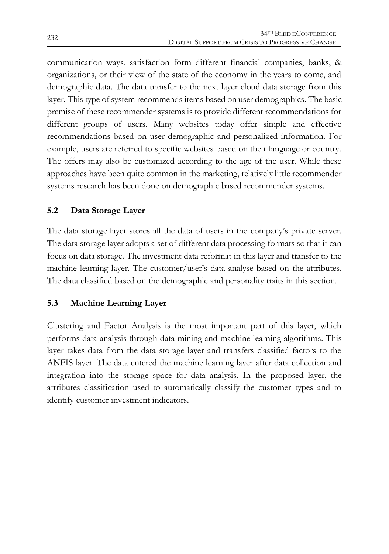communication ways, satisfaction form different financial companies, banks, & organizations, or their view of the state of the economy in the years to come, and demographic data. The data transfer to the next layer cloud data storage from this layer. This type of system recommends items based on user demographics. The basic premise of these recommender systems is to provide different recommendations for different groups of users. Many websites today offer simple and effective recommendations based on user demographic and personalized information. For example, users are referred to specific websites based on their language or country. The offers may also be customized according to the age of the user. While these approaches have been quite common in the marketing, relatively little recommender systems research has been done on demographic based recommender systems.

# **5.2 Data Storage Layer**

The data storage layer stores all the data of users in the company's private server. The data storage layer adopts a set of different data processing formats so that it can focus on data storage. The investment data reformat in this layer and transfer to the machine learning layer. The customer/user's data analyse based on the attributes. The data classified based on the demographic and personality traits in this section.

# **5.3 Machine Learning Layer**

Clustering and Factor Analysis is the most important part of this layer, which performs data analysis through data mining and machine learning algorithms. This layer takes data from the data storage layer and transfers classified factors to the ANFIS layer. The data entered the machine learning layer after data collection and integration into the storage space for data analysis. In the proposed layer, the attributes classification used to automatically classify the customer types and to identify customer investment indicators.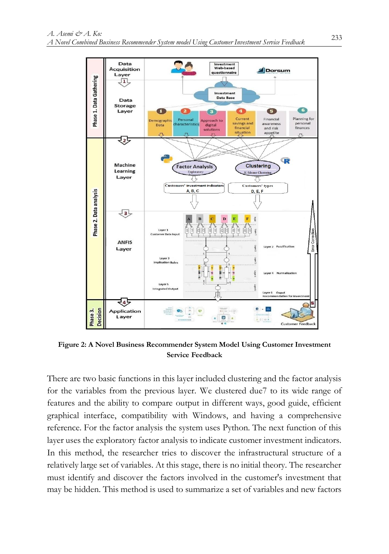

**Figure 2: A Novel Business Recommender System Model Using Customer Investment Service Feedback**

There are two basic functions in this layer included clustering and the factor analysis for the variables from the previous layer. We clustered due7 to its wide range of features and the ability to compare output in different ways, good guide, efficient graphical interface, compatibility with Windows, and having a comprehensive reference. For the factor analysis the system uses Python. The next function of this layer uses the exploratory factor analysis to indicate customer investment indicators. In this method, the researcher tries to discover the infrastructural structure of a relatively large set of variables. At this stage, there is no initial theory. The researcher must identify and discover the factors involved in the customer's investment that may be hidden. This method is used to summarize a set of variables and new factors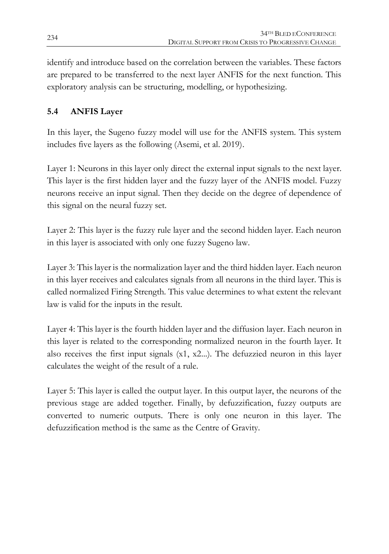identify and introduce based on the correlation between the variables. These factors are prepared to be transferred to the next layer ANFIS for the next function. This exploratory analysis can be structuring, modelling, or hypothesizing.

# **5.4 ANFIS Layer**

In this layer, the Sugeno fuzzy model will use for the ANFIS system. This system includes five layers as the following (Asemi, et al. 2019).

Layer 1: Neurons in this layer only direct the external input signals to the next layer. This layer is the first hidden layer and the fuzzy layer of the ANFIS model. Fuzzy neurons receive an input signal. Then they decide on the degree of dependence of this signal on the neural fuzzy set.

Layer 2: This layer is the fuzzy rule layer and the second hidden layer. Each neuron in this layer is associated with only one fuzzy Sugeno law.

Layer 3: This layer is the normalization layer and the third hidden layer. Each neuron in this layer receives and calculates signals from all neurons in the third layer. This is called normalized Firing Strength. This value determines to what extent the relevant law is valid for the inputs in the result.

Layer 4: This layer is the fourth hidden layer and the diffusion layer. Each neuron in this layer is related to the corresponding normalized neuron in the fourth layer. It also receives the first input signals  $(x1, x2...)$ . The defuzzied neuron in this layer calculates the weight of the result of a rule.

Layer 5: This layer is called the output layer. In this output layer, the neurons of the previous stage are added together. Finally, by defuzzification, fuzzy outputs are converted to numeric outputs. There is only one neuron in this layer. The defuzzification method is the same as the Centre of Gravity.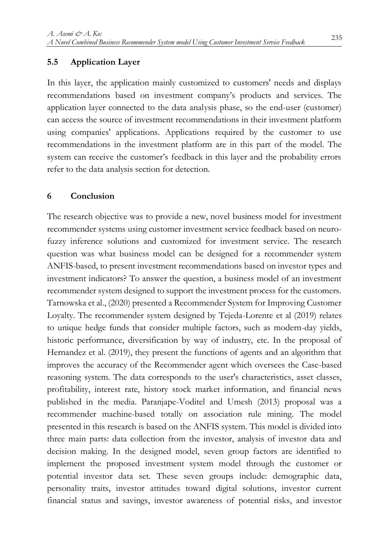### **5.5 Application Layer**

In this layer, the application mainly customized to customers' needs and displays recommendations based on investment company's products and services. The application layer connected to the data analysis phase, so the end-user (customer) can access the source of investment recommendations in their investment platform using companies' applications. Applications required by the customer to use recommendations in the investment platform are in this part of the model. The system can receive the customer's feedback in this layer and the probability errors refer to the data analysis section for detection.

#### **6 Conclusion**

The research objective was to provide a new, novel business model for investment recommender systems using customer investment service feedback based on neurofuzzy inference solutions and customized for investment service. The research question was what business model can be designed for a recommender system ANFIS-based, to present investment recommendations based on investor types and investment indicators? To answer the question, a business model of an investment recommender system designed to support the investment process for the customers. Tarnowska et al., (2020) presented a Recommender System for Improving Customer Loyalty. The recommender system designed by Tejeda-Lorente et al (2019) relates to unique hedge funds that consider multiple factors, such as modern-day yields, historic performance, diversification by way of industry, etc. In the proposal of Hernandez et al. (2019), they present the functions of agents and an algorithm that improves the accuracy of the Recommender agent which oversees the Case-based reasoning system. The data corresponds to the user's characteristics, asset classes, profitability, interest rate, history stock market information, and financial news published in the media. Paranjape-Voditel and Umesh (2013) proposal was a recommender machine-based totally on association rule mining. The model presented in this research is based on the ANFIS system. This model is divided into three main parts: data collection from the investor, analysis of investor data and decision making. In the designed model, seven group factors are identified to implement the proposed investment system model through the customer or potential investor data set. These seven groups include: demographic data, personality traits, investor attitudes toward digital solutions, investor current financial status and savings, investor awareness of potential risks, and investor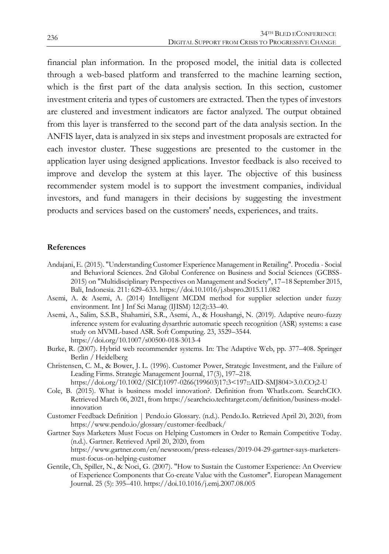financial plan information. In the proposed model, the initial data is collected through a web-based platform and transferred to the machine learning section, which is the first part of the data analysis section. In this section, customer investment criteria and types of customers are extracted. Then the types of investors are clustered and investment indicators are factor analyzed. The output obtained from this layer is transferred to the second part of the data analysis section. In the ANFIS layer, data is analyzed in six steps and investment proposals are extracted for each investor cluster. These suggestions are presented to the customer in the application layer using designed applications. Investor feedback is also received to improve and develop the system at this layer. The objective of this business recommender system model is to support the investment companies, individual investors, and fund managers in their decisions by suggesting the investment products and services based on the customers' needs, experiences, and traits.

#### **References**

- Andajani, E. (2015). "Understanding Customer Experience Management in Retailing". Procedia Social and Behavioral Sciences. 2nd Global Conference on Business and Social Sciences (GCBSS-2015) on "Multidisciplinary Perspectives on Management and Society", 17–18 September 2015, Bali, Indonesia. 211: 629–633.<https://doi.10.1016/j.sbspro.2015.11.082>
- Asemi, A. & Asemi, A. (2014) Intelligent MCDM method for supplier selection under fuzzy environment. Int J Inf Sci Manag (IJISM) 12(2):33–40.
- Asemi, A., Salim, S.S.B., Shahamiri, S.R., Asemi, A., & Houshangi, N. (2019). Adaptive neuro-fuzzy inference system for evaluating dysarthric automatic speech recognition (ASR) systems: a case study on MVML-based ASR. Soft Computing. 23, 3529–3544. <https://doi.org/10.1007/s00500-018-3013-4>
- Burke, R. (2007). Hybrid web recommender systems. In: The Adaptive Web, pp. 377–408. Springer Berlin / Heidelberg
- Christensen, C. M., & Bower, J. L. (1996). Customer Power, Strategic Investment, and the Failure of Leading Firms. Strategic Management Journal, 17(3), 197–218. [https://doi.org/10.1002/\(SICI\)1097-0266\(199603\)17:3<197::AID-SMJ804>3.0.CO;2-U](https://doi.org/10.1002/(SICI)1097-0266(199603)17:3%3c197::AID-SMJ804%3e3.0.CO;2-U)
- Cole, B. (2015). What is business model innovation?. Definition from WhatIs.com. SearchCIO. Retrieved March 06, 2021, fro[m https://searchcio.techtarget.com/definition/business-model](https://searchcio.techtarget.com/definition/business-model-innovation)[innovation](https://searchcio.techtarget.com/definition/business-model-innovation)
- Customer Feedback Definition | Pendo.io Glossary. (n.d.). Pendo.Io. Retrieved April 20, 2020, from <https://www.pendo.io/glossary/customer-feedback/>
- Gartner Says Marketers Must Focus on Helping Customers in Order to Remain Competitive Today. (n.d.). Gartner. Retrieved April 20, 2020, from [https://www.gartner.com/en/newsroom/press-releases/2019-04-29-gartner-says-marketers](https://www.gartner.com/en/newsroom/press-releases/2019-04-29-gartner-says-marketers-must-focus-on-helping-customer)[must-focus-on-helping-customer](https://www.gartner.com/en/newsroom/press-releases/2019-04-29-gartner-says-marketers-must-focus-on-helping-customer)
- Gentile, Ch, Spiller, N., & Noci, G. (2007). "How to Sustain the Customer Experience: An Overview of Experience Components that Co-create Value with the Customer". European Management Journal. 25 (5): 395–410. https://doi.10.1016/j.emj.2007.08.005